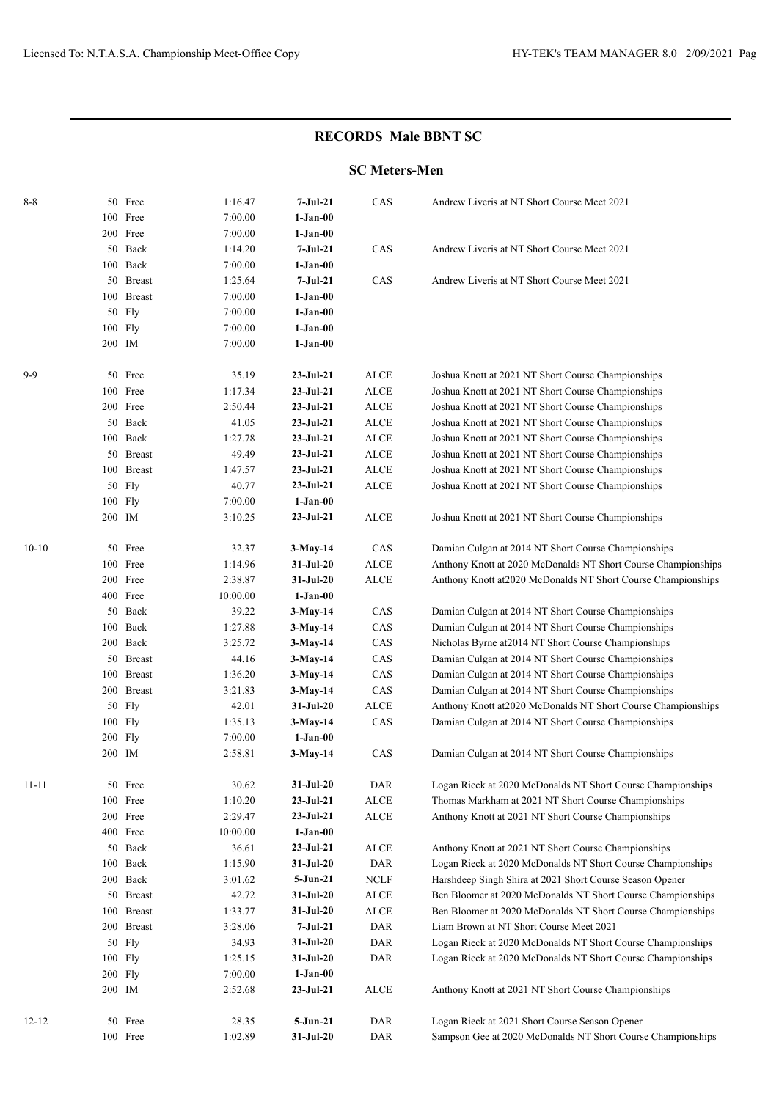## **RECORDS Male BBNT SC**

## **SC Meters-Men**

| $8 - 8$   |         | 50 Free    | 1:16.47  | $7-Jul-21$  | CAS                              | Andrew Liveris at NT Short Course Meet 2021                   |
|-----------|---------|------------|----------|-------------|----------------------------------|---------------------------------------------------------------|
|           |         | 100 Free   | 7:00.00  | $1-Jan-00$  |                                  |                                                               |
|           |         | 200 Free   | 7:00.00  | $1-Jan-00$  |                                  |                                                               |
|           |         | 50 Back    | 1:14.20  | $7-Jul-21$  | $\rm CAS$                        | Andrew Liveris at NT Short Course Meet 2021                   |
|           |         | 100 Back   | 7:00.00  | $1-Jan-00$  |                                  |                                                               |
|           |         | 50 Breast  | 1:25.64  | $7-Jul-21$  | CAS                              | Andrew Liveris at NT Short Course Meet 2021                   |
|           |         | 100 Breast | 7:00.00  | $1-Jan-00$  |                                  |                                                               |
|           |         | 50 Fly     | 7:00.00  | $1-Jan-00$  |                                  |                                                               |
|           | 100 Fly |            | 7:00.00  | $1-Jan-00$  |                                  |                                                               |
|           | 200 IM  |            | 7:00.00  | $1-Jan-00$  |                                  |                                                               |
|           |         |            |          |             |                                  |                                                               |
| $9-9$     |         | 50 Free    | 35.19    | $23-Jul-21$ | ALCE                             | Joshua Knott at 2021 NT Short Course Championships            |
|           |         | 100 Free   | 1:17.34  | $23-Jul-21$ | $\ensuremath{\mathsf{ALCE}}$     | Joshua Knott at 2021 NT Short Course Championships            |
|           |         | 200 Free   | 2:50.44  | $23-Jul-21$ | $\operatorname{ALCE}$            | Joshua Knott at 2021 NT Short Course Championships            |
|           |         | 50 Back    | 41.05    | $23-Jul-21$ | $\operatorname{ALCE}$            | Joshua Knott at 2021 NT Short Course Championships            |
|           |         | 100 Back   | 1:27.78  | $23-Jul-21$ | $\ensuremath{\mathsf{ALCE}}$     | Joshua Knott at 2021 NT Short Course Championships            |
|           |         | 50 Breast  | 49.49    | $23-Ju1-21$ | $\operatorname{ALCE}$            | Joshua Knott at 2021 NT Short Course Championships            |
|           |         | 100 Breast | 1:47.57  | $23-Jul-21$ | $\operatorname{ALCE}$            | Joshua Knott at 2021 NT Short Course Championships            |
|           |         | 50 Fly     | 40.77    | $23-Jul-21$ | $\operatorname{ALCE}$            | Joshua Knott at 2021 NT Short Course Championships            |
|           | 100 Fly |            | 7:00.00  | $1-Jan-00$  |                                  |                                                               |
|           | 200 IM  |            | 3:10.25  | $23-Jul-21$ | <b>ALCE</b>                      | Joshua Knott at 2021 NT Short Course Championships            |
|           |         |            |          |             |                                  |                                                               |
| $10 - 10$ |         | 50 Free    | 32.37    | $3-May-14$  | CAS                              | Damian Culgan at 2014 NT Short Course Championships           |
|           |         | 100 Free   | 1:14.96  | 31-Jul-20   | $\ensuremath{\mathsf{ALCE}}$     | Anthony Knott at 2020 McDonalds NT Short Course Championships |
|           |         | 200 Free   | 2:38.87  | 31-Jul-20   | <b>ALCE</b>                      | Anthony Knott at 2020 McDonalds NT Short Course Championships |
|           |         | 400 Free   | 10:00.00 | $1-Jan-00$  |                                  |                                                               |
|           |         | 50 Back    | 39.22    | $3-May-14$  | CAS                              | Damian Culgan at 2014 NT Short Course Championships           |
|           |         | 100 Back   | 1:27.88  | $3-May-14$  | CAS                              | Damian Culgan at 2014 NT Short Course Championships           |
|           |         | 200 Back   | 3:25.72  | $3-May-14$  | CAS                              | Nicholas Byrne at 2014 NT Short Course Championships          |
|           |         | 50 Breast  | 44.16    | $3-May-14$  | CAS                              | Damian Culgan at 2014 NT Short Course Championships           |
|           |         | 100 Breast | 1:36.20  | $3-May-14$  | CAS                              | Damian Culgan at 2014 NT Short Course Championships           |
|           |         | 200 Breast | 3:21.83  | $3-May-14$  | CAS                              | Damian Culgan at 2014 NT Short Course Championships           |
|           |         | 50 Fly     | 42.01    | $31-Jul-20$ | $\operatorname{ALCE}$            | Anthony Knott at 2020 McDonalds NT Short Course Championships |
|           | 100 Fly |            | 1:35.13  | $3-May-14$  | CAS                              | Damian Culgan at 2014 NT Short Course Championships           |
|           | 200 Fly |            | 7:00.00  | $1-Jan-00$  |                                  |                                                               |
|           | 200 IM  |            | 2:58.81  | $3-May-14$  | CAS                              | Damian Culgan at 2014 NT Short Course Championships           |
| $11 - 11$ |         | 50 Free    | 30.62    | 31-Jul-20   | $\mathbf{D}\mathbf{A}\mathbf{R}$ | Logan Rieck at 2020 McDonalds NT Short Course Championships   |
|           |         | 100 Free   | 1:10.20  | $23-Jul-21$ | $\ensuremath{\mathsf{ALCE}}$     | Thomas Markham at 2021 NT Short Course Championships          |
|           |         | 200 Free   | 2:29.47  | $23-Jul-21$ | ALCE                             | Anthony Knott at 2021 NT Short Course Championships           |
|           |         | 400 Free   | 10:00.00 | $1-Jan-00$  |                                  |                                                               |
|           |         | 50 Back    | 36.61    | $23-Jul-21$ | ALCE                             | Anthony Knott at 2021 NT Short Course Championships           |
|           |         | 100 Back   | 1:15.90  | $31-Jul-20$ | <b>DAR</b>                       | Logan Rieck at 2020 McDonalds NT Short Course Championships   |
|           |         | 200 Back   | 3:01.62  | 5-Jun-21    | NCLF                             | Harshdeep Singh Shira at 2021 Short Course Season Opener      |
|           |         | 50 Breast  | 42.72    | $31-Jul-20$ | $\operatorname{ALCE}$            | Ben Bloomer at 2020 McDonalds NT Short Course Championships   |
|           |         | 100 Breast | 1:33.77  | 31-Jul-20   | $\operatorname{ALCE}$            | Ben Bloomer at 2020 McDonalds NT Short Course Championships   |
|           |         | 200 Breast | 3:28.06  | $7-Jul-21$  | <b>DAR</b>                       | Liam Brown at NT Short Course Meet 2021                       |
|           |         | 50 Fly     | 34.93    | $31-Jul-20$ | <b>DAR</b>                       | Logan Rieck at 2020 McDonalds NT Short Course Championships   |
|           | 100 Fly |            | 1:25.15  | $31-Jul-20$ | DAR                              | Logan Rieck at 2020 McDonalds NT Short Course Championships   |
|           | 200 Fly |            | 7:00.00  | $1-Jan-00$  |                                  |                                                               |
|           | 200 IM  |            | 2:52.68  | $23-Jul-21$ | ALCE                             | Anthony Knott at 2021 NT Short Course Championships           |
|           |         |            |          |             |                                  |                                                               |
| $12 - 12$ |         | 50 Free    | 28.35    | $5-Jun-21$  | DAR                              | Logan Rieck at 2021 Short Course Season Opener                |
|           |         | 100 Free   | 1:02.89  | $31-Jul-20$ | DAR                              | Sampson Gee at 2020 McDonalds NT Short Course Championships   |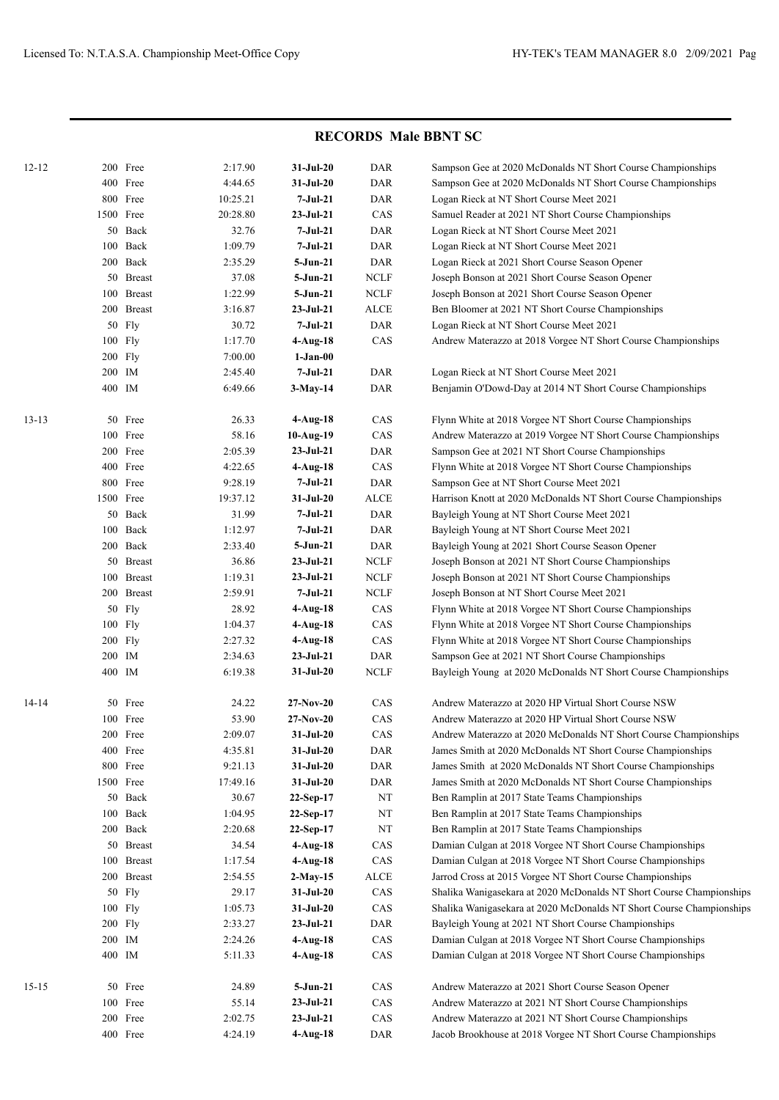## **RECORDS Male BBNT SC**

| $12 - 12$ |        | 200 Free      | 2:17.90  | $31-Jul-20$     | <b>DAR</b>                  | Sampson Gee at 2020 McDonalds NT Short Course Championships          |
|-----------|--------|---------------|----------|-----------------|-----------------------------|----------------------------------------------------------------------|
|           |        | 400 Free      | 4:44.65  | $31-Jul-20$     | <b>DAR</b>                  | Sampson Gee at 2020 McDonalds NT Short Course Championships          |
|           |        | 800 Free      | 10:25.21 | $7-Jul-21$      | <b>DAR</b>                  | Logan Rieck at NT Short Course Meet 2021                             |
|           |        | 1500 Free     | 20:28.80 | $23-Jul-21$     | CAS                         | Samuel Reader at 2021 NT Short Course Championships                  |
|           | 50     | Back          | 32.76    | 7-Jul-21        | <b>DAR</b>                  | Logan Rieck at NT Short Course Meet 2021                             |
|           | 100    | Back          | 1:09.79  | 7-Jul-21        | <b>DAR</b>                  | Logan Rieck at NT Short Course Meet 2021                             |
|           | 200    | Back          | 2:35.29  | 5-Jun-21        | <b>DAR</b>                  | Logan Rieck at 2021 Short Course Season Opener                       |
|           | 50     | <b>Breast</b> | 37.08    | 5-Jun-21        | <b>NCLF</b>                 | Joseph Bonson at 2021 Short Course Season Opener                     |
|           | 100    | <b>Breast</b> | 1:22.99  | 5-Jun-21        | <b>NCLF</b>                 | Joseph Bonson at 2021 Short Course Season Opener                     |
|           |        | 200 Breast    | 3:16.87  | $23-Jul-21$     | ALCE                        | Ben Bloomer at 2021 NT Short Course Championships                    |
|           |        | 50 Fly        | 30.72    | 7-Jul-21        | <b>DAR</b>                  | Logan Rieck at NT Short Course Meet 2021                             |
|           |        | 100 Fly       | 1:17.70  | $4-Aug-18$      | CAS                         | Andrew Materazzo at 2018 Vorgee NT Short Course Championships        |
|           |        | 200 Fly       | 7:00.00  | $1-Jan-00$      |                             |                                                                      |
|           |        | 200 IM        | 2:45.40  | $7-Jul-21$      | DAR                         | Logan Rieck at NT Short Course Meet 2021                             |
|           | 400 IM |               | 6:49.66  | $3-May-14$      | <b>DAR</b>                  | Benjamin O'Dowd-Day at 2014 NT Short Course Championships            |
| $13 - 13$ |        | 50 Free       | 26.33    | $4-Aug-18$      | CAS                         | Flynn White at 2018 Vorgee NT Short Course Championships             |
|           | 100    | Free          | 58.16    | 10-Aug-19       | CAS                         | Andrew Materazzo at 2019 Vorgee NT Short Course Championships        |
|           |        | 200 Free      | 2:05.39  | $23-Jul-21$     | DAR                         | Sampson Gee at 2021 NT Short Course Championships                    |
|           |        | 400 Free      | 4:22.65  | $4-Aug-18$      | CAS                         | Flynn White at 2018 Vorgee NT Short Course Championships             |
|           |        | 800 Free      | 9:28.19  | 7-Jul-21        | <b>DAR</b>                  | Sampson Gee at NT Short Course Meet 2021                             |
|           |        | 1500 Free     | 19:37.12 | $31-Jul-20$     | <b>ALCE</b>                 | Harrison Knott at 2020 McDonalds NT Short Course Championships       |
|           |        | 50 Back       | 31.99    | 7-Jul-21        | DAR                         | Bayleigh Young at NT Short Course Meet 2021                          |
|           | 100    | Back          | 1:12.97  | 7-Jul-21        | DAR                         | Bayleigh Young at NT Short Course Meet 2021                          |
|           |        | 200 Back      | 2:33.40  | 5-Jun-21        | DAR                         | Bayleigh Young at 2021 Short Course Season Opener                    |
|           |        | 50 Breast     | 36.86    | $23-Jul-21$     | <b>NCLF</b>                 | Joseph Bonson at 2021 NT Short Course Championships                  |
|           |        | 100 Breast    | 1:19.31  | $23-Jul-21$     | <b>NCLF</b>                 | Joseph Bonson at 2021 NT Short Course Championships                  |
|           |        | 200 Breast    | 2:59.91  | 7-Jul-21        | <b>NCLF</b>                 | Joseph Bonson at NT Short Course Meet 2021                           |
|           |        | 50 Fly        | 28.92    | $4-Aug-18$      | CAS                         | Flynn White at 2018 Vorgee NT Short Course Championships             |
|           |        | 100 Fly       | 1:04.37  | $4-Aug-18$      | CAS                         | Flynn White at 2018 Vorgee NT Short Course Championships             |
|           |        | 200 Fly       | 2:27.32  | $4-Aug-18$      | CAS                         | Flynn White at 2018 Vorgee NT Short Course Championships             |
|           |        | 200 IM        | 2:34.63  | $23-Jul-21$     | DAR                         | Sampson Gee at 2021 NT Short Course Championships                    |
|           | 400 IM |               | 6:19.38  | $31-Jul-20$     | <b>NCLF</b>                 | Bayleigh Young at 2020 McDonalds NT Short Course Championships       |
| 14-14     |        | 50 Free       | 24.22    | $27-Nov-20$     | CAS                         | Andrew Materazzo at 2020 HP Virtual Short Course NSW                 |
|           | 100    | Free          | 53.90    | $27-Nov-20$     | CAS                         | Andrew Materazzo at 2020 HP Virtual Short Course NSW                 |
|           |        | 200 Free      | 2:09.07  | 31-Jul-20       | CAS                         | Andrew Materazzo at 2020 McDonalds NT Short Course Championships     |
|           |        | 400 Free      | 4:35.81  | $31-Jul-20$     | DAR                         | James Smith at 2020 McDonalds NT Short Course Championships          |
|           |        | 800 Free      | 9:21.13  | $31-Jul-20$     | DAR                         | James Smith at 2020 McDonalds NT Short Course Championships          |
|           |        | 1500 Free     | 17:49.16 | $31-Jul-20$     | $\mathop{\sf DAR}\nolimits$ | James Smith at 2020 McDonalds NT Short Course Championships          |
|           |        | 50 Back       | 30.67    | 22-Sep-17       | $_{\rm NT}$                 | Ben Ramplin at 2017 State Teams Championships                        |
|           |        | 100 Back      | 1:04.95  | 22-Sep-17       | $\rm{NT}$                   | Ben Ramplin at 2017 State Teams Championships                        |
|           |        | 200 Back      | 2:20.68  | 22-Sep-17       | $\rm{NT}$                   | Ben Ramplin at 2017 State Teams Championships                        |
|           |        | 50 Breast     | 34.54    | $4-Aug-18$      | CAS                         | Damian Culgan at 2018 Vorgee NT Short Course Championships           |
|           |        | 100 Breast    | 1:17.54  | $4-Aug-18$      | CAS                         | Damian Culgan at 2018 Vorgee NT Short Course Championships           |
|           |        | 200 Breast    | 2:54.55  | $2-May-15$      | ALCE                        | Jarrod Cross at 2015 Vorgee NT Short Course Championships            |
|           |        | 50 Fly        | 29.17    | $31-Jul-20$     | CAS                         | Shalika Wanigasekara at 2020 McDonalds NT Short Course Championships |
|           |        | 100 Fly       | 1:05.73  | $31-Jul-20$     | CAS                         | Shalika Wanigasekara at 2020 McDonalds NT Short Course Championships |
|           |        | 200 Fly       | 2:33.27  | $23 - Jul - 21$ | DAR                         | Bayleigh Young at 2021 NT Short Course Championships                 |
|           |        | $200\;\;$ IM  | 2:24.26  | $4-Aug-18$      | CAS                         | Damian Culgan at 2018 Vorgee NT Short Course Championships           |
|           | 400 IM |               | 5:11.33  | $4-Aug-18$      | CAS                         | Damian Culgan at 2018 Vorgee NT Short Course Championships           |
| $15 - 15$ |        | 50 Free       | 24.89    | $5-Jun-21$      | CAS                         | Andrew Materazzo at 2021 Short Course Season Opener                  |
|           |        | 100 Free      | 55.14    | $23 - Jul - 21$ | CAS                         | Andrew Materazzo at 2021 NT Short Course Championships               |
|           |        | 200 Free      | 2:02.75  | $23-Jul-21$     | CAS                         | Andrew Materazzo at 2021 NT Short Course Championships               |
|           |        | 400 Free      | 4:24.19  | $4-Aug-18$      | DAR                         | Jacob Brookhouse at 2018 Vorgee NT Short Course Championships        |